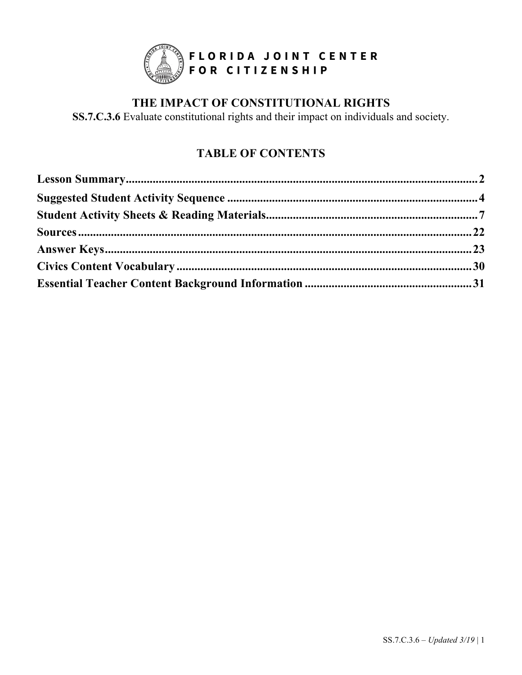

# **THE IMPACT OF CONSTITUTIONAL RIGHTS**

**SS.7.C.3.6** Evaluate constitutional rights and their impact on individuals and society.

# **TABLE OF CONTENTS**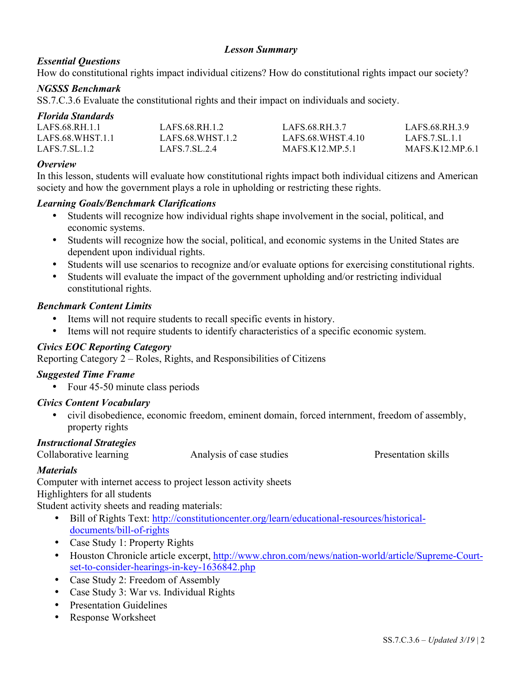#### *Lesson Summary*

#### *Essential Questions*

How do constitutional rights impact individual citizens? How do constitutional rights impact our society?

#### *NGSSS Benchmark*

SS.7.C.3.6 Evaluate the constitutional rights and their impact on individuals and society.

#### *Florida Standards*

| LAFS.68.RH.1.1   | LAFS 68 RH 1 2   | LAFS 68 RH 3 7         | LAFS 68 RH 3 9        |
|------------------|------------------|------------------------|-----------------------|
| LAFS 68 WHST 1.1 | LAFS 68 WHST 1.2 | LAFS 68 WHST 4.10      | LAFS. 7. SL. 1.1      |
| LAFS.7. SL.1.2   | LAFS 7.SL 2.4    | <b>MAFS K12 MP.5.1</b> | <b>MAFS K12 MP 61</b> |

#### *Overview*

In this lesson, students will evaluate how constitutional rights impact both individual citizens and American society and how the government plays a role in upholding or restricting these rights.

#### *Learning Goals/Benchmark Clarifications*

- Students will recognize how individual rights shape involvement in the social, political, and economic systems.
- Students will recognize how the social, political, and economic systems in the United States are dependent upon individual rights.
- Students will use scenarios to recognize and/or evaluate options for exercising constitutional rights.
- Students will evaluate the impact of the government upholding and/or restricting individual constitutional rights.

#### *Benchmark Content Limits*

- Items will not require students to recall specific events in history.
- Items will not require students to identify characteristics of a specific economic system.

#### *Civics EOC Reporting Category*

Reporting Category 2 – Roles, Rights, and Responsibilities of Citizens

#### *Suggested Time Frame*

• Four 45-50 minute class periods

#### *Civics Content Vocabulary*

• civil disobedience, economic freedom, eminent domain, forced internment, freedom of assembly, property rights

#### *Instructional Strategies*

Collaborative learning Analysis of case studies Presentation skills

#### *Materials*

Computer with internet access to project lesson activity sheets Highlighters for all students Student activity sheets and reading materials:

- Bill of Rights Text: http://constitutioncenter.org/learn/educational-resources/historicaldocuments/bill-of-rights
- Case Study 1: Property Rights
- Houston Chronicle article excerpt, http://www.chron.com/news/nation-world/article/Supreme-Courtset-to-consider-hearings-in-key-1636842.php
- Case Study 2: Freedom of Assembly
- Case Study 3: War vs. Individual Rights
- Presentation Guidelines
- Response Worksheet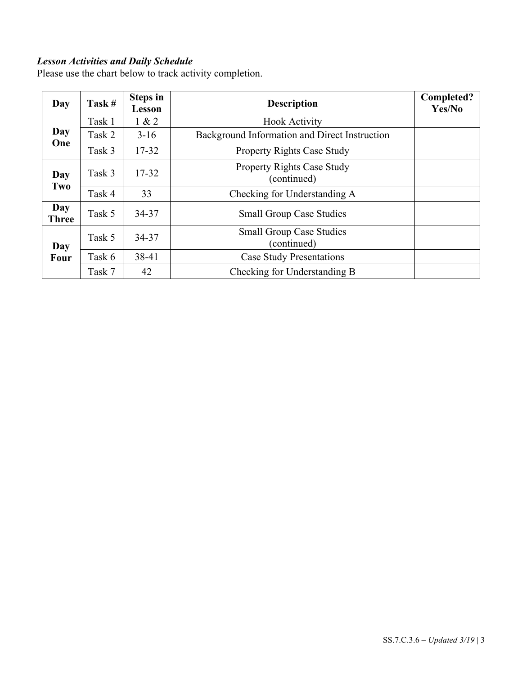#### *Lesson Activities and Daily Schedule*

Please use the chart below to track activity completion.

| Day                 | Task # | <b>Steps in</b><br>Lesson | <b>Description</b>                             | Completed?<br>Yes/No |
|---------------------|--------|---------------------------|------------------------------------------------|----------------------|
|                     | Task 1 | 1 & 2                     | <b>Hook Activity</b>                           |                      |
| Day                 | Task 2 | $3-16$                    | Background Information and Direct Instruction  |                      |
| One                 | Task 3 | 17-32                     | <b>Property Rights Case Study</b>              |                      |
| Day<br>Two          | Task 3 | $17 - 32$                 | Property Rights Case Study<br>(continued)      |                      |
|                     | Task 4 | 33                        | Checking for Understanding A                   |                      |
| Day<br><b>Three</b> | Task 5 | 34-37                     | <b>Small Group Case Studies</b>                |                      |
| Day                 | Task 5 | 34-37                     | <b>Small Group Case Studies</b><br>(continued) |                      |
| <b>Four</b>         | Task 6 | 38-41                     | <b>Case Study Presentations</b>                |                      |
|                     | Task 7 | 42                        | Checking for Understanding B                   |                      |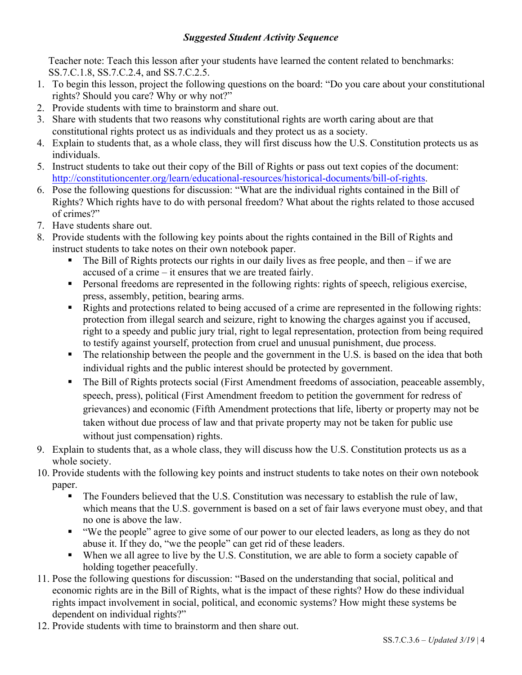#### *Suggested Student Activity Sequence*

Teacher note: Teach this lesson after your students have learned the content related to benchmarks: SS.7.C.1.8, SS.7.C.2.4, and SS.7.C.2.5.

- 1. To begin this lesson, project the following questions on the board: "Do you care about your constitutional rights? Should you care? Why or why not?"
- 2. Provide students with time to brainstorm and share out.
- 3. Share with students that two reasons why constitutional rights are worth caring about are that constitutional rights protect us as individuals and they protect us as a society.
- 4. Explain to students that, as a whole class, they will first discuss how the U.S. Constitution protects us as individuals.
- 5. Instruct students to take out their copy of the Bill of Rights or pass out text copies of the document: http://constitutioncenter.org/learn/educational-resources/historical-documents/bill-of-rights.
- 6. Pose the following questions for discussion: "What are the individual rights contained in the Bill of Rights? Which rights have to do with personal freedom? What about the rights related to those accused of crimes?"
- 7. Have students share out.
- 8. Provide students with the following key points about the rights contained in the Bill of Rights and instruct students to take notes on their own notebook paper.
	- The Bill of Rights protects our rights in our daily lives as free people, and then  $-$  if we are accused of a crime – it ensures that we are treated fairly.
	- Personal freedoms are represented in the following rights: rights of speech, religious exercise, press, assembly, petition, bearing arms.
	- Rights and protections related to being accused of a crime are represented in the following rights: protection from illegal search and seizure, right to knowing the charges against you if accused, right to a speedy and public jury trial, right to legal representation, protection from being required to testify against yourself, protection from cruel and unusual punishment, due process.
	- The relationship between the people and the government in the U.S. is based on the idea that both individual rights and the public interest should be protected by government.
	- The Bill of Rights protects social (First Amendment freedoms of association, peaceable assembly, speech, press), political (First Amendment freedom to petition the government for redress of grievances) and economic (Fifth Amendment protections that life, liberty or property may not be taken without due process of law and that private property may not be taken for public use without just compensation) rights.
- 9. Explain to students that, as a whole class, they will discuss how the U.S. Constitution protects us as a whole society.
- 10. Provide students with the following key points and instruct students to take notes on their own notebook paper.
	- The Founders believed that the U.S. Constitution was necessary to establish the rule of law, which means that the U.S. government is based on a set of fair laws everyone must obey, and that no one is above the law.
	- "We the people" agree to give some of our power to our elected leaders, as long as they do not abuse it. If they do, "we the people" can get rid of these leaders.
	- When we all agree to live by the U.S. Constitution, we are able to form a society capable of holding together peacefully.
- 11. Pose the following questions for discussion: "Based on the understanding that social, political and economic rights are in the Bill of Rights, what is the impact of these rights? How do these individual rights impact involvement in social, political, and economic systems? How might these systems be dependent on individual rights?"
- 12. Provide students with time to brainstorm and then share out.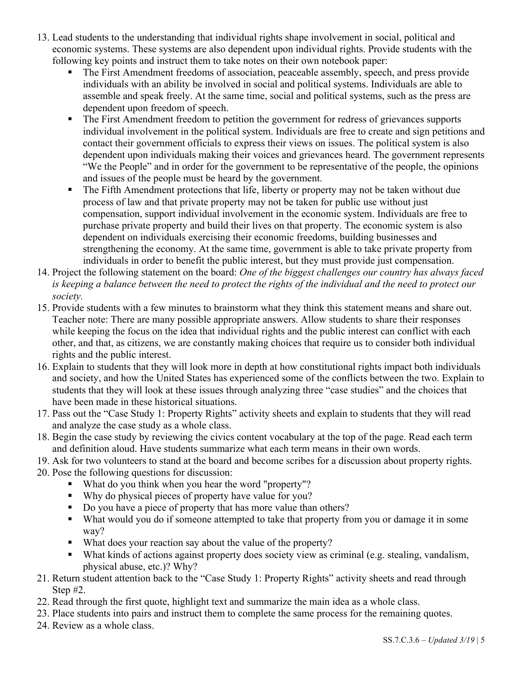- 13. Lead students to the understanding that individual rights shape involvement in social, political and economic systems. These systems are also dependent upon individual rights. Provide students with the following key points and instruct them to take notes on their own notebook paper:
	- The First Amendment freedoms of association, peaceable assembly, speech, and press provide individuals with an ability be involved in social and political systems. Individuals are able to assemble and speak freely. At the same time, social and political systems, such as the press are dependent upon freedom of speech.
	- The First Amendment freedom to petition the government for redress of grievances supports individual involvement in the political system. Individuals are free to create and sign petitions and contact their government officials to express their views on issues. The political system is also dependent upon individuals making their voices and grievances heard. The government represents "We the People" and in order for the government to be representative of the people, the opinions and issues of the people must be heard by the government.
	- The Fifth Amendment protections that life, liberty or property may not be taken without due process of law and that private property may not be taken for public use without just compensation, support individual involvement in the economic system. Individuals are free to purchase private property and build their lives on that property. The economic system is also dependent on individuals exercising their economic freedoms, building businesses and strengthening the economy. At the same time, government is able to take private property from individuals in order to benefit the public interest, but they must provide just compensation.
- 14. Project the following statement on the board: *One of the biggest challenges our country has always faced is keeping a balance between the need to protect the rights of the individual and the need to protect our society.*
- 15. Provide students with a few minutes to brainstorm what they think this statement means and share out. Teacher note: There are many possible appropriate answers. Allow students to share their responses while keeping the focus on the idea that individual rights and the public interest can conflict with each other, and that, as citizens, we are constantly making choices that require us to consider both individual rights and the public interest.
- 16. Explain to students that they will look more in depth at how constitutional rights impact both individuals and society, and how the United States has experienced some of the conflicts between the two. Explain to students that they will look at these issues through analyzing three "case studies" and the choices that have been made in these historical situations.
- 17. Pass out the "Case Study 1: Property Rights" activity sheets and explain to students that they will read and analyze the case study as a whole class.
- 18. Begin the case study by reviewing the civics content vocabulary at the top of the page. Read each term and definition aloud. Have students summarize what each term means in their own words.
- 19. Ask for two volunteers to stand at the board and become scribes for a discussion about property rights.
- 20. Pose the following questions for discussion:
	- What do you think when you hear the word "property"?
	- Why do physical pieces of property have value for you?
	- § Do you have a piece of property that has more value than others?
	- What would you do if someone attempted to take that property from you or damage it in some way?
	- What does your reaction say about the value of the property?
	- What kinds of actions against property does society view as criminal (e.g. stealing, vandalism, physical abuse, etc.)? Why?
- 21. Return student attention back to the "Case Study 1: Property Rights" activity sheets and read through Step #2.
- 22. Read through the first quote, highlight text and summarize the main idea as a whole class.
- 23. Place students into pairs and instruct them to complete the same process for the remaining quotes.
- 24. Review as a whole class.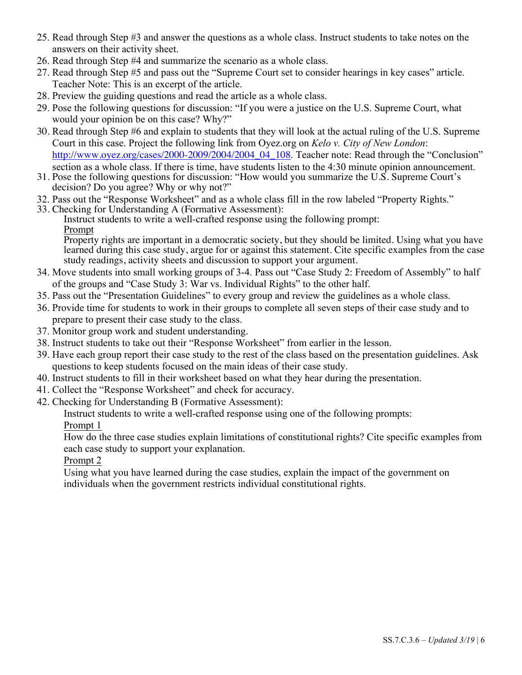- 25. Read through Step #3 and answer the questions as a whole class. Instruct students to take notes on the answers on their activity sheet.
- 26. Read through Step #4 and summarize the scenario as a whole class.
- 27. Read through Step #5 and pass out the "Supreme Court set to consider hearings in key cases" article. Teacher Note: This is an excerpt of the article.
- 28. Preview the guiding questions and read the article as a whole class.
- 29. Pose the following questions for discussion: "If you were a justice on the U.S. Supreme Court, what would your opinion be on this case? Why?"
- 30. Read through Step #6 and explain to students that they will look at the actual ruling of the U.S. Supreme Court in this case. Project the following link from Oyez.org on *Kelo v. City of New London*: http://www.oyez.org/cases/2000-2009/2004/2004\_04\_108. Teacher note: Read through the "Conclusion" section as a whole class. If there is time, have students listen to the 4:30 minute opinion announcement.
- 31. Pose the following questions for discussion: "How would you summarize the U.S. Supreme Court's decision? Do you agree? Why or why not?"
- 32. Pass out the "Response Worksheet" and as a whole class fill in the row labeled "Property Rights."
- 33. Checking for Understanding A (Formative Assessment):

Instruct students to write a well-crafted response using the following prompt: Prompt

**Property rights are important in a democratic society, but they should be limited.** Using what you have learned during this case study, argue for or against this statement. Cite specific examples from the case study readings, activity sheets and discussion to support your argument.

- 34. Move students into small working groups of 3-4. Pass out "Case Study 2: Freedom of Assembly" to half of the groups and "Case Study 3: War vs. Individual Rights" to the other half.
- 35. Pass out the "Presentation Guidelines" to every group and review the guidelines as a whole class.
- 36. Provide time for students to work in their groups to complete all seven steps of their case study and to prepare to present their case study to the class.
- 37. Monitor group work and student understanding.
- 38. Instruct students to take out their "Response Worksheet" from earlier in the lesson.
- 39. Have each group report their case study to the rest of the class based on the presentation guidelines. Ask questions to keep students focused on the main ideas of their case study.
- 40. Instruct students to fill in their worksheet based on what they hear during the presentation.
- 41. Collect the "Response Worksheet" and check for accuracy.
- 42. Checking for Understanding B (Formative Assessment):

Instruct students to write a well-crafted response using one of the following prompts:

Prompt 1

How do the three case studies explain limitations of constitutional rights? Cite specific examples from each case study to support your explanation.

#### Prompt 2

Using what you have learned during the case studies, explain the impact of the government on individuals when the government restricts individual constitutional rights.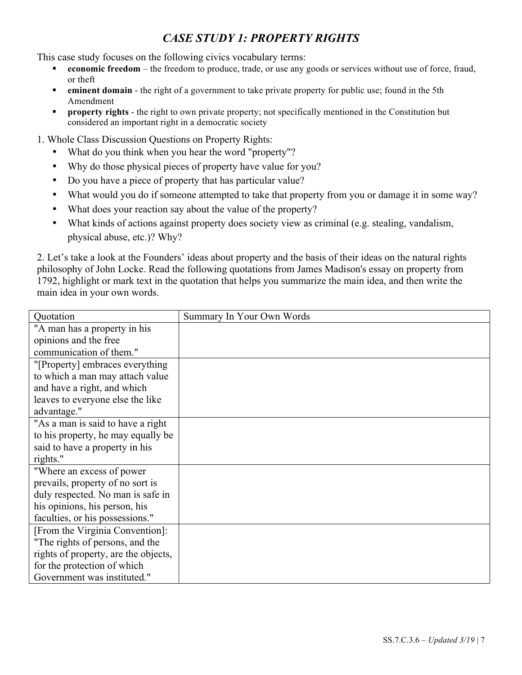# *CASE STUDY 1: PROPERTY RIGHTS*

This case study focuses on the following civics vocabulary terms:

- **economic freedom** the freedom to produce, trade, or use any goods or services without use of force, fraud, or theft
- **• eminent domain** the right of a government to take private property for public use; found in the 5th Amendment
- **• property rights** the right to own private property; not specifically mentioned in the Constitution but considered an important right in a democratic society
- 1. Whole Class Discussion Questions on Property Rights:
	- What do you think when you hear the word "property"?
	- Why do those physical pieces of property have value for you?
	- Do you have a piece of property that has particular value?
	- What would you do if someone attempted to take that property from you or damage it in some way?
	- What does your reaction say about the value of the property?
	- What kinds of actions against property does society view as criminal (e.g. stealing, vandalism, physical abuse, etc.)? Why?

2. Let's take a look at the Founders' ideas about property and the basis of their ideas on the natural rights philosophy of John Locke. Read the following quotations from James Madison's essay on property from 1792, highlight or mark text in the quotation that helps you summarize the main idea, and then write the main idea in your own words.

| Quotation                            | Summary In Your Own Words |
|--------------------------------------|---------------------------|
| "A man has a property in his         |                           |
| opinions and the free                |                           |
| communication of them."              |                           |
| "[Property] embraces everything      |                           |
| to which a man may attach value      |                           |
| and have a right, and which          |                           |
| leaves to everyone else the like     |                           |
| advantage."                          |                           |
| "As a man is said to have a right    |                           |
| to his property, he may equally be   |                           |
| said to have a property in his       |                           |
| rights."                             |                           |
| "Where an excess of power"           |                           |
| prevails, property of no sort is     |                           |
| duly respected. No man is safe in    |                           |
| his opinions, his person, his        |                           |
| faculties, or his possessions."      |                           |
| [From the Virginia Convention]:      |                           |
| "The rights of persons, and the      |                           |
| rights of property, are the objects, |                           |
| for the protection of which          |                           |
| Government was instituted."          |                           |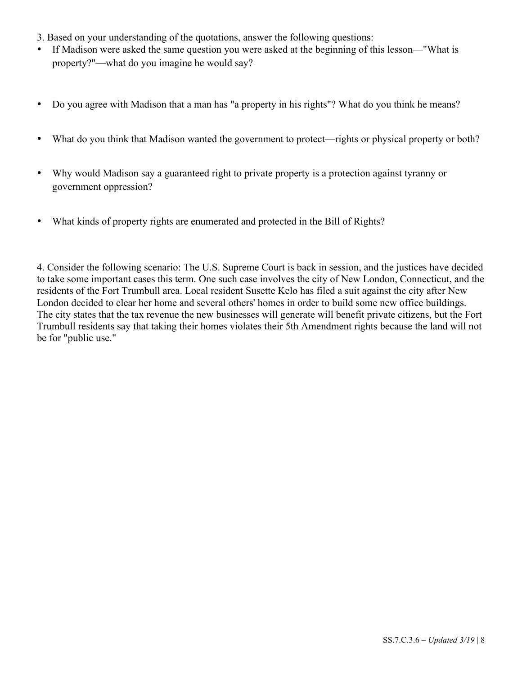- 3. Based on your understanding of the quotations, answer the following questions:
- If Madison were asked the same question you were asked at the beginning of this lesson—"What is property?"—what do you imagine he would say?
- Do you agree with Madison that a man has "a property in his rights"? What do you think he means?
- What do you think that Madison wanted the government to protect—rights or physical property or both?
- Why would Madison say a guaranteed right to private property is a protection against tyranny or government oppression?
- What kinds of property rights are enumerated and protected in the Bill of Rights?

4. Consider the following scenario: The U.S. Supreme Court is back in session, and the justices have decided to take some important cases this term. One such case involves the city of New London, Connecticut, and the residents of the Fort Trumbull area. Local resident Susette Kelo has filed a suit against the city after New London decided to clear her home and several others' homes in order to build some new office buildings. The city states that the tax revenue the new businesses will generate will benefit private citizens, but the Fort Trumbull residents say that taking their homes violates their 5th Amendment rights because the land will not be for "public use."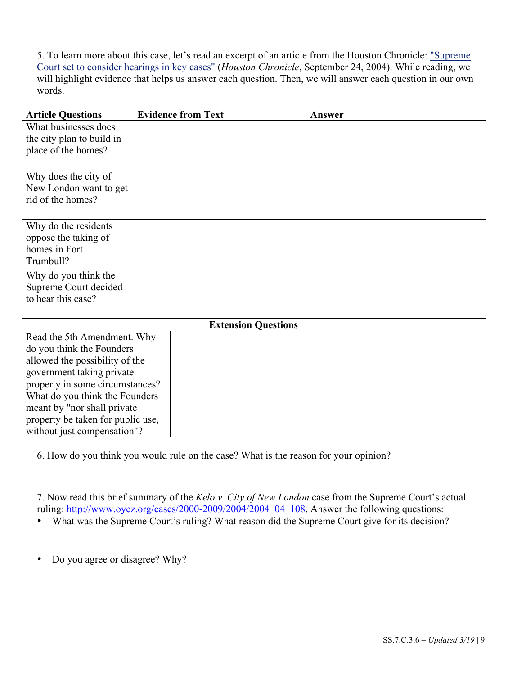5. To learn more about this case, let's read an excerpt of an article from the Houston Chronicle: "Supreme Court set to consider hearings in key cases" (*Houston Chronicle*, September 24, 2004). While reading, we will highlight evidence that helps us answer each question. Then, we will answer each question in our own words.

| <b>Article Questions</b>          | <b>Evidence from Text</b>  | Answer |
|-----------------------------------|----------------------------|--------|
| What businesses does              |                            |        |
| the city plan to build in         |                            |        |
| place of the homes?               |                            |        |
|                                   |                            |        |
| Why does the city of              |                            |        |
| New London want to get            |                            |        |
| rid of the homes?                 |                            |        |
|                                   |                            |        |
| Why do the residents              |                            |        |
| oppose the taking of              |                            |        |
| homes in Fort                     |                            |        |
| Trumbull?                         |                            |        |
| Why do you think the              |                            |        |
| Supreme Court decided             |                            |        |
| to hear this case?                |                            |        |
|                                   |                            |        |
|                                   | <b>Extension Questions</b> |        |
| Read the 5th Amendment. Why       |                            |        |
| do you think the Founders         |                            |        |
| allowed the possibility of the    |                            |        |
| government taking private         |                            |        |
| property in some circumstances?   |                            |        |
| What do you think the Founders    |                            |        |
| meant by "nor shall private       |                            |        |
| property be taken for public use, |                            |        |
| without just compensation"?       |                            |        |

6. How do you think you would rule on the case? What is the reason for your opinion?

7. Now read this brief summary of the *Kelo v. City of New London* case from the Supreme Court's actual ruling: http://www.oyez.org/cases/2000-2009/2004/2004\_04\_108. Answer the following questions:

• What was the Supreme Court's ruling? What reason did the Supreme Court give for its decision?

• Do you agree or disagree? Why?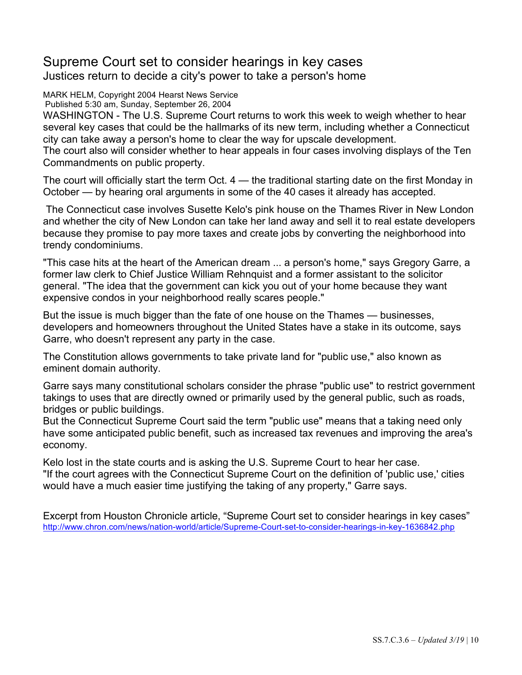# Supreme Court set to consider hearings in key cases Justices return to decide a city's power to take a person's home

MARK HELM, Copyright 2004 Hearst News Service Published 5:30 am, Sunday, September 26, 2004

WASHINGTON - The U.S. Supreme Court returns to work this week to weigh whether to hear several key cases that could be the hallmarks of its new term, including whether a Connecticut city can take away a person's home to clear the way for upscale development.

The court also will consider whether to hear appeals in four cases involving displays of the Ten Commandments on public property.

The court will officially start the term Oct. 4 — the traditional starting date on the first Monday in October — by hearing oral arguments in some of the 40 cases it already has accepted.

The Connecticut case involves Susette Kelo's pink house on the Thames River in New London and whether the city of New London can take her land away and sell it to real estate developers because they promise to pay more taxes and create jobs by converting the neighborhood into trendy condominiums.

"This case hits at the heart of the American dream ... a person's home," says Gregory Garre, a former law clerk to Chief Justice William Rehnquist and a former assistant to the solicitor general. "The idea that the government can kick you out of your home because they want expensive condos in your neighborhood really scares people."

But the issue is much bigger than the fate of one house on the Thames — businesses, developers and homeowners throughout the United States have a stake in its outcome, says Garre, who doesn't represent any party in the case.

The Constitution allows governments to take private land for "public use," also known as eminent domain authority.

Garre says many constitutional scholars consider the phrase "public use" to restrict government takings to uses that are directly owned or primarily used by the general public, such as roads, bridges or public buildings.

But the Connecticut Supreme Court said the term "public use" means that a taking need only have some anticipated public benefit, such as increased tax revenues and improving the area's economy.

Kelo lost in the state courts and is asking the U.S. Supreme Court to hear her case. "If the court agrees with the Connecticut Supreme Court on the definition of 'public use,' cities would have a much easier time justifying the taking of any property," Garre says.

Excerpt from Houston Chronicle article, "Supreme Court set to consider hearings in key cases" http://www.chron.com/news/nation-world/article/Supreme-Court-set-to-consider-hearings-in-key-1636842.php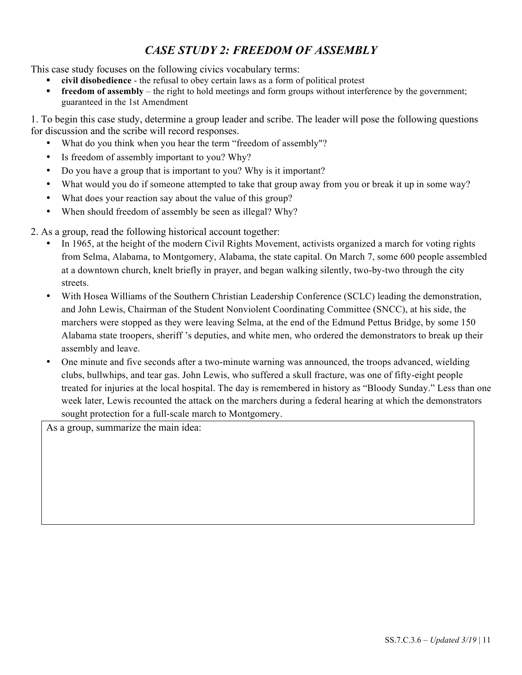# *CASE STUDY 2: FREEDOM OF ASSEMBLY*

This case study focuses on the following civics vocabulary terms:

- § **civil disobedience** the refusal to obey certain laws as a form of political protest
- **freedom of assembly** the right to hold meetings and form groups without interference by the government; guaranteed in the 1st Amendment

1. To begin this case study, determine a group leader and scribe. The leader will pose the following questions for discussion and the scribe will record responses.

- What do you think when you hear the term "freedom of assembly"?
- Is freedom of assembly important to you? Why?
- Do you have a group that is important to you? Why is it important?
- What would you do if someone attempted to take that group away from you or break it up in some way?
- What does your reaction say about the value of this group?
- When should freedom of assembly be seen as illegal? Why?

2. As a group, read the following historical account together:

- In 1965, at the height of the modern Civil Rights Movement, activists organized a march for voting rights from Selma, Alabama, to Montgomery, Alabama, the state capital. On March 7, some 600 people assembled at a downtown church, knelt briefly in prayer, and began walking silently, two-by-two through the city streets.
- With Hosea Williams of the Southern Christian Leadership Conference (SCLC) leading the demonstration, and John Lewis, Chairman of the Student Nonviolent Coordinating Committee (SNCC), at his side, the marchers were stopped as they were leaving Selma, at the end of the Edmund Pettus Bridge, by some 150 Alabama state troopers, sheriff 's deputies, and white men, who ordered the demonstrators to break up their assembly and leave.
- One minute and five seconds after a two-minute warning was announced, the troops advanced, wielding clubs, bullwhips, and tear gas. John Lewis, who suffered a skull fracture, was one of fifty-eight people treated for injuries at the local hospital. The day is remembered in history as "Bloody Sunday." Less than one week later, Lewis recounted the attack on the marchers during a federal hearing at which the demonstrators sought protection for a full-scale march to Montgomery.

As a group, summarize the main idea: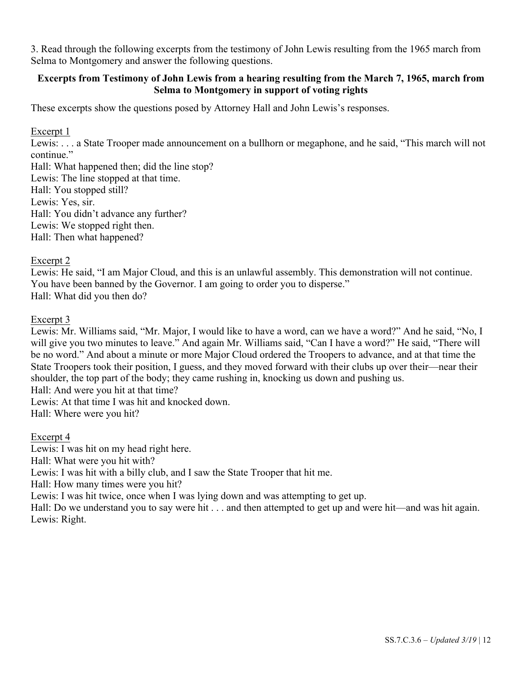3. Read through the following excerpts from the testimony of John Lewis resulting from the 1965 march from Selma to Montgomery and answer the following questions.

#### **Excerpts from Testimony of John Lewis from a hearing resulting from the March 7, 1965, march from Selma to Montgomery in support of voting rights**

These excerpts show the questions posed by Attorney Hall and John Lewis's responses.

#### Excerpt 1

Lewis: . . . a State Trooper made announcement on a bullhorn or megaphone, and he said, "This march will not continue."

Hall: What happened then; did the line stop? Lewis: The line stopped at that time. Hall: You stopped still? Lewis: Yes, sir. Hall: You didn't advance any further? Lewis: We stopped right then. Hall: Then what happened?

#### Excerpt 2

Lewis: He said, "I am Major Cloud, and this is an unlawful assembly. This demonstration will not continue. You have been banned by the Governor. I am going to order you to disperse." Hall: What did you then do?

#### Excerpt 3

Lewis: Mr. Williams said, "Mr. Major, I would like to have a word, can we have a word?" And he said, "No, I will give you two minutes to leave." And again Mr. Williams said, "Can I have a word?" He said, "There will be no word." And about a minute or more Major Cloud ordered the Troopers to advance, and at that time the State Troopers took their position, I guess, and they moved forward with their clubs up over their—near their shoulder, the top part of the body; they came rushing in, knocking us down and pushing us.

Hall: And were you hit at that time?

Lewis: At that time I was hit and knocked down.

Hall: Where were you hit?

#### Excerpt 4

Lewis: I was hit on my head right here. Hall: What were you hit with? Lewis: I was hit with a billy club, and I saw the State Trooper that hit me. Hall: How many times were you hit? Lewis: I was hit twice, once when I was lying down and was attempting to get up.

Hall: Do we understand you to say were hit . . . and then attempted to get up and were hit—and was hit again. Lewis: Right.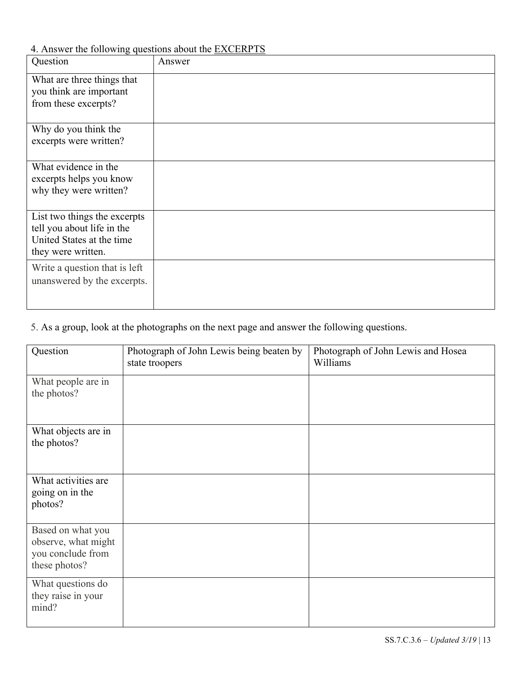4. Answer the following questions about the EXCERPTS

| ◡<br>Question                                                                                                 | Answer |
|---------------------------------------------------------------------------------------------------------------|--------|
| What are three things that<br>you think are important<br>from these excerpts?                                 |        |
| Why do you think the<br>excerpts were written?                                                                |        |
| What evidence in the<br>excerpts helps you know<br>why they were written?                                     |        |
| List two things the excerpts<br>tell you about life in the<br>United States at the time<br>they were written. |        |
| Write a question that is left<br>unanswered by the excerpts.                                                  |        |

# 5. As a group, look at the photographs on the next page and answer the following questions.

| Question                                                                       | Photograph of John Lewis being beaten by<br>state troopers | Photograph of John Lewis and Hosea<br>Williams |
|--------------------------------------------------------------------------------|------------------------------------------------------------|------------------------------------------------|
| What people are in<br>the photos?                                              |                                                            |                                                |
| What objects are in<br>the photos?                                             |                                                            |                                                |
| What activities are<br>going on in the<br>photos?                              |                                                            |                                                |
| Based on what you<br>observe, what might<br>you conclude from<br>these photos? |                                                            |                                                |
| What questions do<br>they raise in your<br>mind?                               |                                                            |                                                |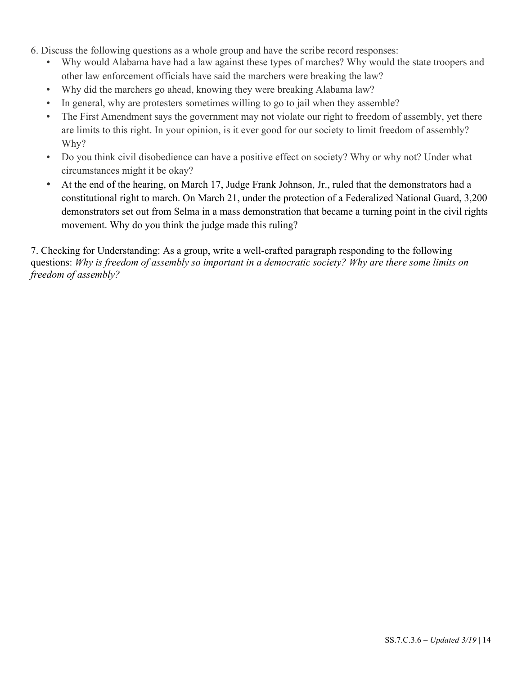- 6. Discuss the following questions as a whole group and have the scribe record responses:
	- Why would Alabama have had a law against these types of marches? Why would the state troopers and other law enforcement officials have said the marchers were breaking the law?
	- Why did the marchers go ahead, knowing they were breaking Alabama law?
	- In general, why are protesters sometimes willing to go to jail when they assemble?
	- The First Amendment says the government may not violate our right to freedom of assembly, yet there are limits to this right. In your opinion, is it ever good for our society to limit freedom of assembly? Why?
	- Do you think civil disobedience can have a positive effect on society? Why or why not? Under what circumstances might it be okay?
	- At the end of the hearing, on March 17, Judge Frank Johnson, Jr., ruled that the demonstrators had a constitutional right to march. On March 21, under the protection of a Federalized National Guard, 3,200 demonstrators set out from Selma in a mass demonstration that became a turning point in the civil rights movement. Why do you think the judge made this ruling?

7. Checking for Understanding: As a group, write a well-crafted paragraph responding to the following questions: *Why is freedom of assembly so important in a democratic society? Why are there some limits on freedom of assembly?*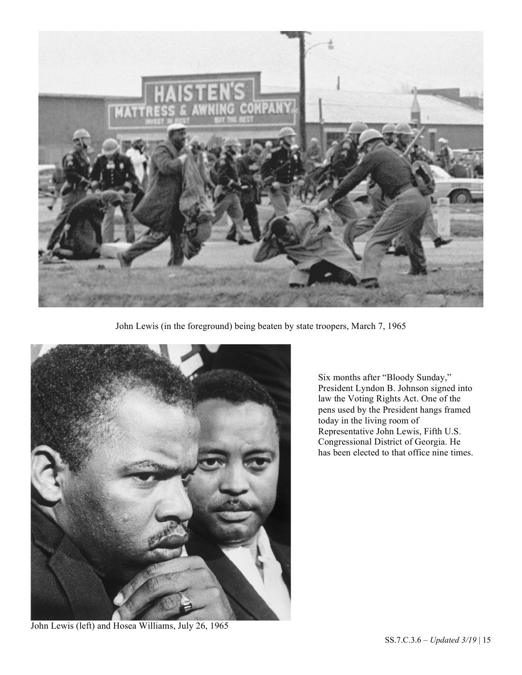

John Lewis (in the foreground) being beaten by state troopers, March 7, 1965



Six months after "Bloody Sunday," President Lyndon B. Johnson signed into law the Voting Rights Act. One of the pens used by the President hangs framed today in the living room of Representative John Lewis, Fifth U.S. Congressional District of Georgia. He has been elected to that office nine times.

John Lewis (left) and Hosea Williams, July 26, 1965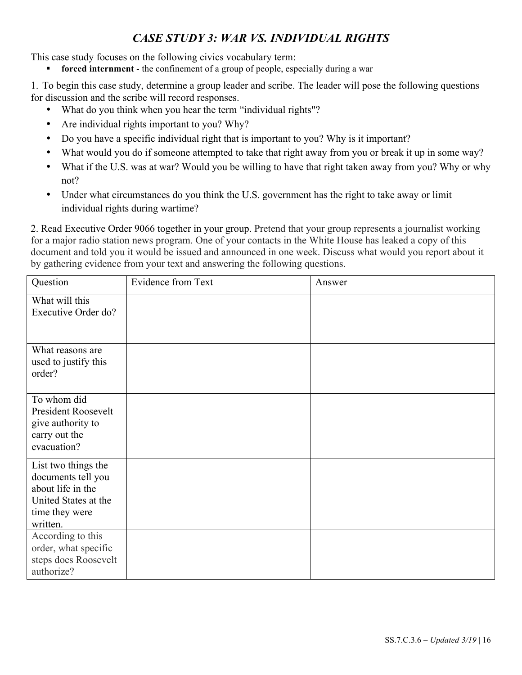# *CASE STUDY 3: WAR VS. INDIVIDUAL RIGHTS*

This case study focuses on the following civics vocabulary term:

forced internment - the confinement of a group of people, especially during a war

1. To begin this case study, determine a group leader and scribe. The leader will pose the following questions for discussion and the scribe will record responses.

- What do you think when you hear the term "individual rights"?
- Are individual rights important to you? Why?
- Do you have a specific individual right that is important to you? Why is it important?
- What would you do if someone attempted to take that right away from you or break it up in some way?
- What if the U.S. was at war? Would you be willing to have that right taken away from you? Why or why not?
- Under what circumstances do you think the U.S. government has the right to take away or limit individual rights during wartime?

2. Read Executive Order 9066 together in your group. Pretend that your group represents a journalist working for a major radio station news program. One of your contacts in the White House has leaked a copy of this document and told you it would be issued and announced in one week. Discuss what would you report about it by gathering evidence from your text and answering the following questions.

| Question                                | Evidence from Text | Answer |
|-----------------------------------------|--------------------|--------|
| What will this                          |                    |        |
| Executive Order do?                     |                    |        |
|                                         |                    |        |
| What reasons are                        |                    |        |
| used to justify this<br>order?          |                    |        |
|                                         |                    |        |
| To whom did                             |                    |        |
| President Roosevelt                     |                    |        |
| give authority to<br>carry out the      |                    |        |
| evacuation?                             |                    |        |
| List two things the                     |                    |        |
| documents tell you<br>about life in the |                    |        |
| United States at the                    |                    |        |
| time they were                          |                    |        |
| written.                                |                    |        |
| According to this                       |                    |        |
| order, what specific                    |                    |        |
| steps does Roosevelt<br>authorize?      |                    |        |
|                                         |                    |        |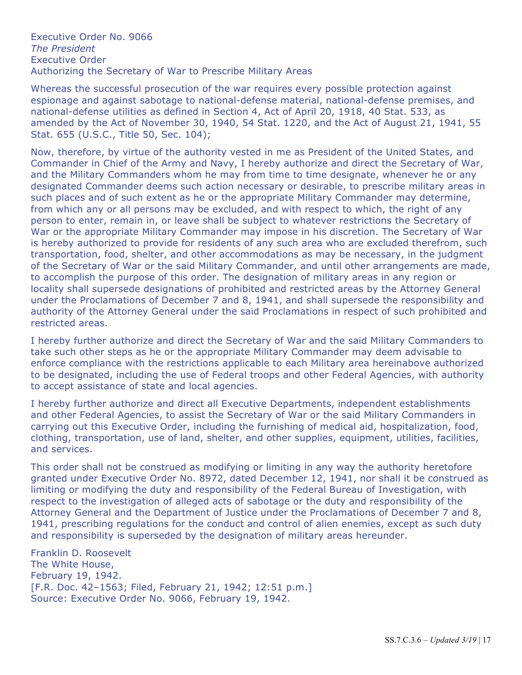Executive Order No. 9066 *The President* Executive Order Authorizing the Secretary of War to Prescribe Military Areas

Whereas the successful prosecution of the war requires every possible protection against espionage and against sabotage to national-defense material, national-defense premises, and national-defense utilities as defined in Section 4, Act of April 20, 1918, 40 Stat. 533, as amended by the Act of November 30, 1940, 54 Stat. 1220, and the Act of August 21, 1941, 55 Stat. 655 (U.S.C., Title 50, Sec. 104);

Now, therefore, by virtue of the authority vested in me as President of the United States, and Commander in Chief of the Army and Navy, I hereby authorize and direct the Secretary of War, and the Military Commanders whom he may from time to time designate, whenever he or any designated Commander deems such action necessary or desirable, to prescribe military areas in such places and of such extent as he or the appropriate Military Commander may determine, from which any or all persons may be excluded, and with respect to which, the right of any person to enter, remain in, or leave shall be subject to whatever restrictions the Secretary of War or the appropriate Military Commander may impose in his discretion. The Secretary of War is hereby authorized to provide for residents of any such area who are excluded therefrom, such transportation, food, shelter, and other accommodations as may be necessary, in the judgment of the Secretary of War or the said Military Commander, and until other arrangements are made, to accomplish the purpose of this order. The designation of military areas in any region or locality shall supersede designations of prohibited and restricted areas by the Attorney General under the Proclamations of December 7 and 8, 1941, and shall supersede the responsibility and authority of the Attorney General under the said Proclamations in respect of such prohibited and restricted areas.

I hereby further authorize and direct the Secretary of War and the said Military Commanders to take such other steps as he or the appropriate Military Commander may deem advisable to enforce compliance with the restrictions applicable to each Military area hereinabove authorized to be designated, including the use of Federal troops and other Federal Agencies, with authority to accept assistance of state and local agencies.

I hereby further authorize and direct all Executive Departments, independent establishments and other Federal Agencies, to assist the Secretary of War or the said Military Commanders in carrying out this Executive Order, including the furnishing of medical aid, hospitalization, food, clothing, transportation, use of land, shelter, and other supplies, equipment, utilities, facilities, and services.

This order shall not be construed as modifying or limiting in any way the authority heretofore granted under Executive Order No. 8972, dated December 12, 1941, nor shall it be construed as limiting or modifying the duty and responsibility of the Federal Bureau of Investigation, with respect to the investigation of alleged acts of sabotage or the duty and responsibility of the Attorney General and the Department of Justice under the Proclamations of December 7 and 8, 1941, prescribing regulations for the conduct and control of alien enemies, except as such duty and responsibility is superseded by the designation of military areas hereunder.

Franklin D. Roosevelt The White House, February 19, 1942. [F.R. Doc. 42–1563; Filed, February 21, 1942; 12:51 p.m.] Source: Executive Order No. 9066, February 19, 1942.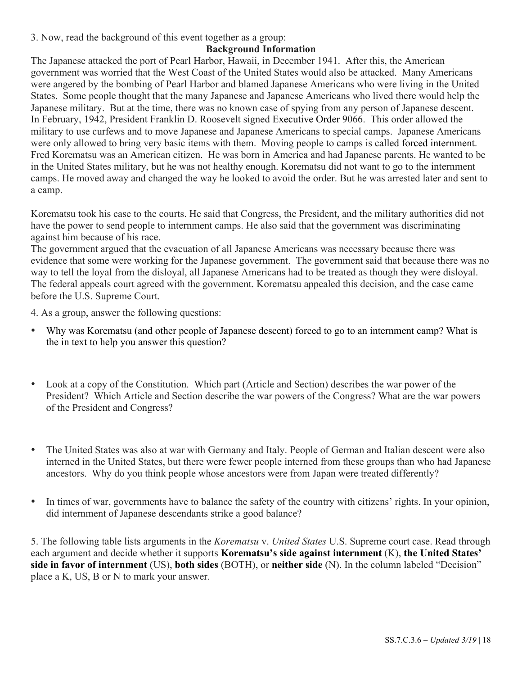3. Now, read the background of this event together as a group:

#### **Background Information**

The Japanese attacked the port of Pearl Harbor, Hawaii, in December 1941. After this, the American government was worried that the West Coast of the United States would also be attacked. Many Americans were angered by the bombing of Pearl Harbor and blamed Japanese Americans who were living in the United States. Some people thought that the many Japanese and Japanese Americans who lived there would help the Japanese military. But at the time, there was no known case of spying from any person of Japanese descent. In February, 1942, President Franklin D. Roosevelt signed Executive Order 9066. This order allowed the military to use curfews and to move Japanese and Japanese Americans to special camps. Japanese Americans were only allowed to bring very basic items with them. Moving people to camps is called forced internment. Fred Korematsu was an American citizen. He was born in America and had Japanese parents. He wanted to be in the United States military, but he was not healthy enough. Korematsu did not want to go to the internment camps. He moved away and changed the way he looked to avoid the order. But he was arrested later and sent to a camp.

Korematsu took his case to the courts. He said that Congress, the President, and the military authorities did not have the power to send people to internment camps. He also said that the government was discriminating against him because of his race.

The government argued that the evacuation of all Japanese Americans was necessary because there was evidence that some were working for the Japanese government. The government said that because there was no way to tell the loyal from the disloyal, all Japanese Americans had to be treated as though they were disloyal. The federal appeals court agreed with the government. Korematsu appealed this decision, and the case came before the U.S. Supreme Court.

4. As a group, answer the following questions:

- Why was Korematsu (and other people of Japanese descent) forced to go to an internment camp? What is the in text to help you answer this question?
- Look at a copy of the Constitution. Which part (Article and Section) describes the war power of the President? Which Article and Section describe the war powers of the Congress? What are the war powers of the President and Congress?
- The United States was also at war with Germany and Italy. People of German and Italian descent were also interned in the United States, but there were fewer people interned from these groups than who had Japanese ancestors. Why do you think people whose ancestors were from Japan were treated differently?
- In times of war, governments have to balance the safety of the country with citizens' rights. In your opinion, did internment of Japanese descendants strike a good balance?

5. The following table lists arguments in the *Korematsu* v. *United States* U.S. Supreme court case. Read through each argument and decide whether it supports **Korematsu's side against internment** (K), **the United States' side in favor of internment** (US), **both sides** (BOTH), or **neither side** (N). In the column labeled "Decision" place a K, US, B or N to mark your answer.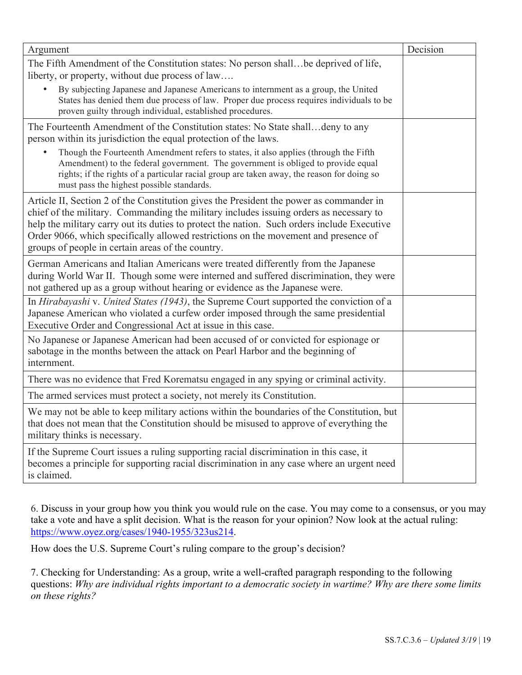| Argument                                                                                                                                                                                                                                                                                                                                                                                                                     | Decision |
|------------------------------------------------------------------------------------------------------------------------------------------------------------------------------------------------------------------------------------------------------------------------------------------------------------------------------------------------------------------------------------------------------------------------------|----------|
| The Fifth Amendment of the Constitution states: No person shall be deprived of life,<br>liberty, or property, without due process of law                                                                                                                                                                                                                                                                                     |          |
| By subjecting Japanese and Japanese Americans to internment as a group, the United<br>States has denied them due process of law. Proper due process requires individuals to be<br>proven guilty through individual, established procedures.                                                                                                                                                                                  |          |
| The Fourteenth Amendment of the Constitution states: No State shalldeny to any<br>person within its jurisdiction the equal protection of the laws.                                                                                                                                                                                                                                                                           |          |
| Though the Fourteenth Amendment refers to states, it also applies (through the Fifth<br>Amendment) to the federal government. The government is obliged to provide equal<br>rights; if the rights of a particular racial group are taken away, the reason for doing so<br>must pass the highest possible standards.                                                                                                          |          |
| Article II, Section 2 of the Constitution gives the President the power as commander in<br>chief of the military. Commanding the military includes issuing orders as necessary to<br>help the military carry out its duties to protect the nation. Such orders include Executive<br>Order 9066, which specifically allowed restrictions on the movement and presence of<br>groups of people in certain areas of the country. |          |
| German Americans and Italian Americans were treated differently from the Japanese<br>during World War II. Though some were interned and suffered discrimination, they were<br>not gathered up as a group without hearing or evidence as the Japanese were.                                                                                                                                                                   |          |
| In Hirabayashi v. United States (1943), the Supreme Court supported the conviction of a<br>Japanese American who violated a curfew order imposed through the same presidential<br>Executive Order and Congressional Act at issue in this case.                                                                                                                                                                               |          |
| No Japanese or Japanese American had been accused of or convicted for espionage or<br>sabotage in the months between the attack on Pearl Harbor and the beginning of<br>internment.                                                                                                                                                                                                                                          |          |
| There was no evidence that Fred Korematsu engaged in any spying or criminal activity.                                                                                                                                                                                                                                                                                                                                        |          |
| The armed services must protect a society, not merely its Constitution.                                                                                                                                                                                                                                                                                                                                                      |          |
| We may not be able to keep military actions within the boundaries of the Constitution, but<br>that does not mean that the Constitution should be misused to approve of everything the<br>military thinks is necessary.                                                                                                                                                                                                       |          |
| If the Supreme Court issues a ruling supporting racial discrimination in this case, it<br>becomes a principle for supporting racial discrimination in any case where an urgent need<br>is claimed.                                                                                                                                                                                                                           |          |

6. Discuss in your group how you think you would rule on the case. You may come to a consensus, or you may take a vote and have a split decision. What is the reason for your opinion? Now look at the actual ruling: https://www.oyez.org/cases/1940-1955/323us214.

How does the U.S. Supreme Court's ruling compare to the group's decision?

7. Checking for Understanding: As a group, write a well-crafted paragraph responding to the following questions: *Why are individual rights important to a democratic society in wartime? Why are there some limits on these rights?*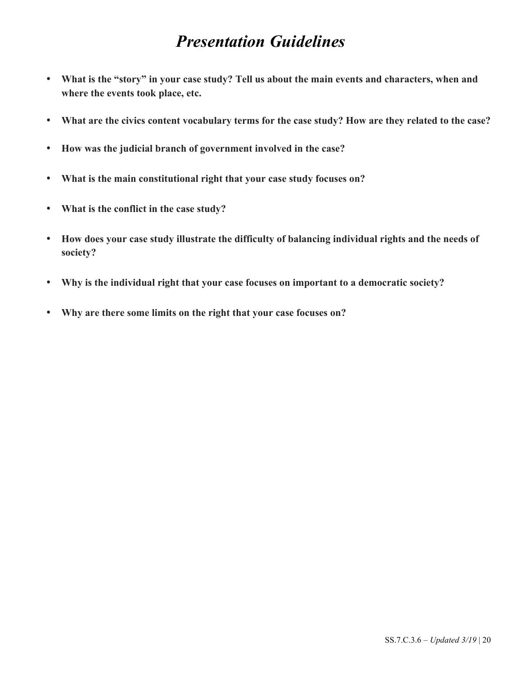# *Presentation Guidelines*

- **What is the "story" in your case study? Tell us about the main events and characters, when and where the events took place, etc.**
- **What are the civics content vocabulary terms for the case study? How are they related to the case?**
- **How was the judicial branch of government involved in the case?**
- **What is the main constitutional right that your case study focuses on?**
- **What is the conflict in the case study?**
- **How does your case study illustrate the difficulty of balancing individual rights and the needs of society?**
- **Why is the individual right that your case focuses on important to a democratic society?**
- **Why are there some limits on the right that your case focuses on?**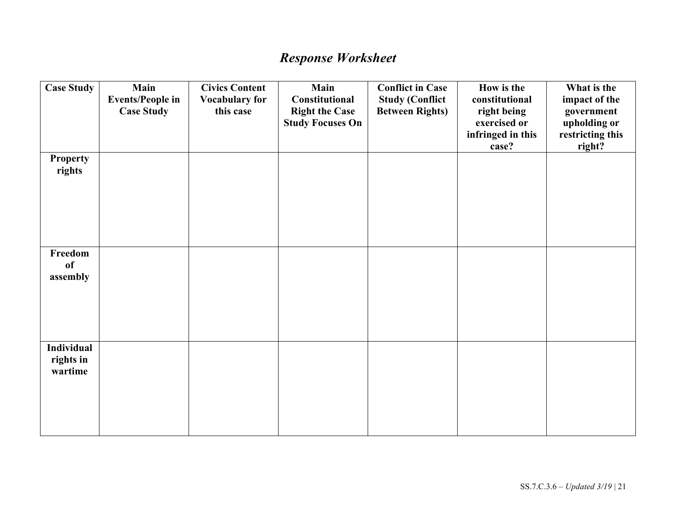# *Response Worksheet*

| <b>Case Study</b>                         | Main<br><b>Events/People in</b><br><b>Case Study</b> | <b>Civics Content</b><br><b>Vocabulary for</b><br>this case | Main<br>Constitutional<br><b>Right the Case</b><br><b>Study Focuses On</b> | <b>Conflict in Case</b><br><b>Study (Conflict</b><br><b>Between Rights)</b> | How is the<br>constitutional<br>right being<br>exercised or<br>infringed in this<br>case? | What is the<br>impact of the<br>government<br>upholding or<br>restricting this<br>right? |
|-------------------------------------------|------------------------------------------------------|-------------------------------------------------------------|----------------------------------------------------------------------------|-----------------------------------------------------------------------------|-------------------------------------------------------------------------------------------|------------------------------------------------------------------------------------------|
| <b>Property</b><br>rights                 |                                                      |                                                             |                                                                            |                                                                             |                                                                                           |                                                                                          |
| Freedom<br>of<br>assembly                 |                                                      |                                                             |                                                                            |                                                                             |                                                                                           |                                                                                          |
| <b>Individual</b><br>rights in<br>wartime |                                                      |                                                             |                                                                            |                                                                             |                                                                                           |                                                                                          |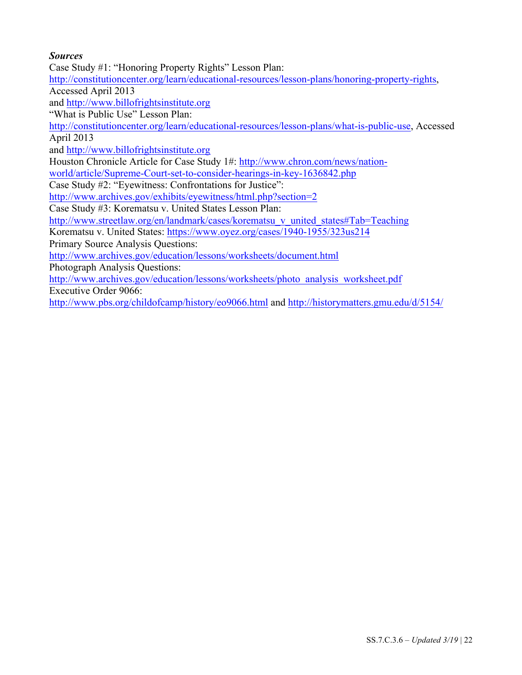#### *Sources*

Case Study #1: "Honoring Property Rights" Lesson Plan:

http://constitutioncenter.org/learn/educational-resources/lesson-plans/honoring-property-rights,

Accessed April 2013

and http://www.billofrightsinstitute.org

"What is Public Use" Lesson Plan:

http://constitutioncenter.org/learn/educational-resources/lesson-plans/what-is-public-use, Accessed April 2013

and http://www.billofrightsinstitute.org

Houston Chronicle Article for Case Study 1#: http://www.chron.com/news/nation-

world/article/Supreme-Court-set-to-consider-hearings-in-key-1636842.php

Case Study #2: "Eyewitness: Confrontations for Justice":

http://www.archives.gov/exhibits/eyewitness/html.php?section=2

Case Study #3: Korematsu v. United States Lesson Plan:

http://www.streetlaw.org/en/landmark/cases/korematsu\_v\_united\_states#Tab=Teaching

Korematsu v. United States: https://www.oyez.org/cases/1940-1955/323us214

Primary Source Analysis Questions:

http://www.archives.gov/education/lessons/worksheets/document.html

Photograph Analysis Questions:

http://www.archives.gov/education/lessons/worksheets/photo\_analysis\_worksheet.pdf Executive Order 9066:

http://www.pbs.org/childofcamp/history/eo9066.html and http://historymatters.gmu.edu/d/5154/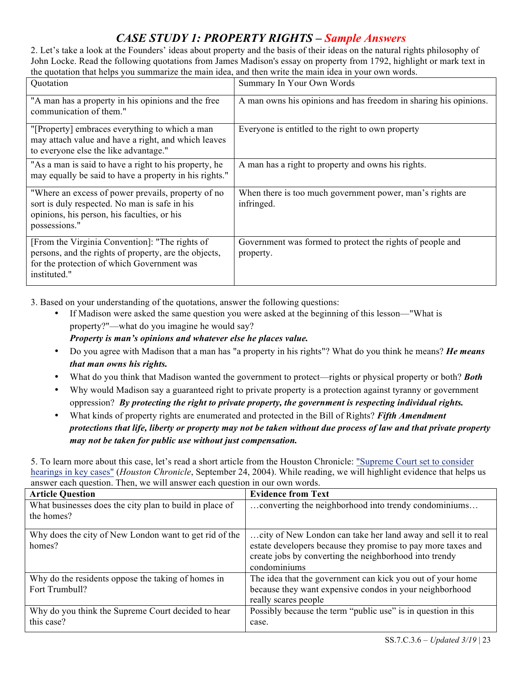# *CASE STUDY 1: PROPERTY RIGHTS – Sample Answers*

2. Let's take a look at the Founders' ideas about property and the basis of their ideas on the natural rights philosophy of John Locke. Read the following quotations from James Madison's essay on property from 1792, highlight or mark text in the quotation that helps you summarize the main idea, and then write the main idea in your own words.

| Quotation                                                                                                                                                             | Summary In Your Own Words                                               |
|-----------------------------------------------------------------------------------------------------------------------------------------------------------------------|-------------------------------------------------------------------------|
| "A man has a property in his opinions and the free<br>communication of them."                                                                                         | A man owns his opinions and has freedom in sharing his opinions.        |
| "[Property] embraces everything to which a man<br>may attach value and have a right, and which leaves<br>to everyone else the like advantage."                        | Everyone is entitled to the right to own property                       |
| "As a man is said to have a right to his property, he<br>may equally be said to have a property in his rights."                                                       | A man has a right to property and owns his rights.                      |
| "Where an excess of power prevails, property of no<br>sort is duly respected. No man is safe in his<br>opinions, his person, his faculties, or his<br>possessions."   | When there is too much government power, man's rights are<br>infringed. |
| [From the Virginia Convention]: "The rights of<br>persons, and the rights of property, are the objects,<br>for the protection of which Government was<br>instituted." | Government was formed to protect the rights of people and<br>property.  |

3. Based on your understanding of the quotations, answer the following questions:

- If Madison were asked the same question you were asked at the beginning of this lesson—"What is property?"—what do you imagine he would say? *Property is man's opinions and whatever else he places value.*
- Do you agree with Madison that a man has "a property in his rights"? What do you think he means? *He means that man owns his rights.*
- What do you think that Madison wanted the government to protect—rights or physical property or both? *Both*
- Why would Madison say a guaranteed right to private property is a protection against tyranny or government oppression? *By protecting the right to private property, the government is respecting individual rights.*
- What kinds of property rights are enumerated and protected in the Bill of Rights? *Fifth Amendment protections that life, liberty or property may not be taken without due process of law and that private property may not be taken for public use without just compensation.*

5. To learn more about this case, let's read a short article from the Houston Chronicle: "Supreme Court set to consider hearings in key cases" (*Houston Chronicle*, September 24, 2004). While reading, we will highlight evidence that helps us answer each question. Then, we will answer each question in our own words.

| <b>Article Question</b>                                               | <b>Evidence from Text</b>                                                                                                                                                                               |
|-----------------------------------------------------------------------|---------------------------------------------------------------------------------------------------------------------------------------------------------------------------------------------------------|
| What businesses does the city plan to build in place of<br>the homes? | converting the neighborhood into trendy condominiums                                                                                                                                                    |
| Why does the city of New London want to get rid of the<br>homes?      | city of New London can take her land away and sell it to real<br>estate developers because they promise to pay more taxes and<br>create jobs by converting the neighborhood into trendy<br>condominiums |
| Why do the residents oppose the taking of homes in<br>Fort Trumbull?  | The idea that the government can kick you out of your home<br>because they want expensive condos in your neighborhood<br>really scares people                                                           |
| Why do you think the Supreme Court decided to hear<br>this case?      | Possibly because the term "public use" is in question in this<br>case.                                                                                                                                  |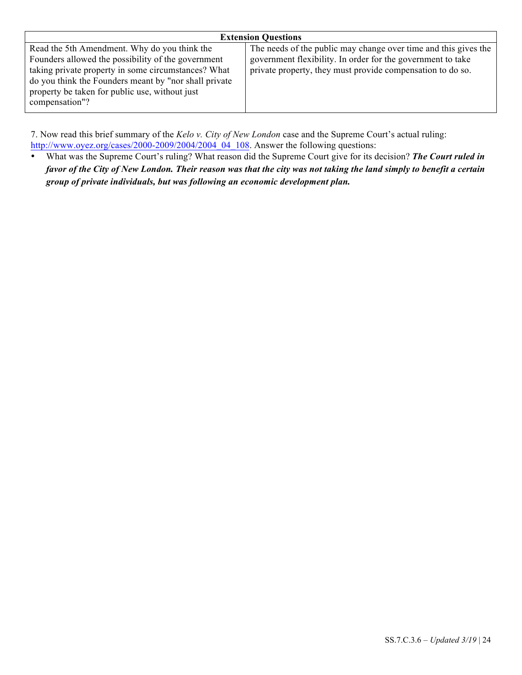| <b>Extension Questions</b>                                      |  |  |  |
|-----------------------------------------------------------------|--|--|--|
| The needs of the public may change over time and this gives the |  |  |  |
| government flexibility. In order for the government to take     |  |  |  |
| private property, they must provide compensation to do so.      |  |  |  |
|                                                                 |  |  |  |
|                                                                 |  |  |  |
|                                                                 |  |  |  |
|                                                                 |  |  |  |

7. Now read this brief summary of the *Kelo v. City of New London* case and the Supreme Court's actual ruling: http://www.oyez.org/cases/2000-2009/2004/2004\_04\_108. Answer the following questions:

• What was the Supreme Court's ruling? What reason did the Supreme Court give for its decision? *The Court ruled in favor of the City of New London. Their reason was that the city was not taking the land simply to benefit a certain group of private individuals, but was following an economic development plan.*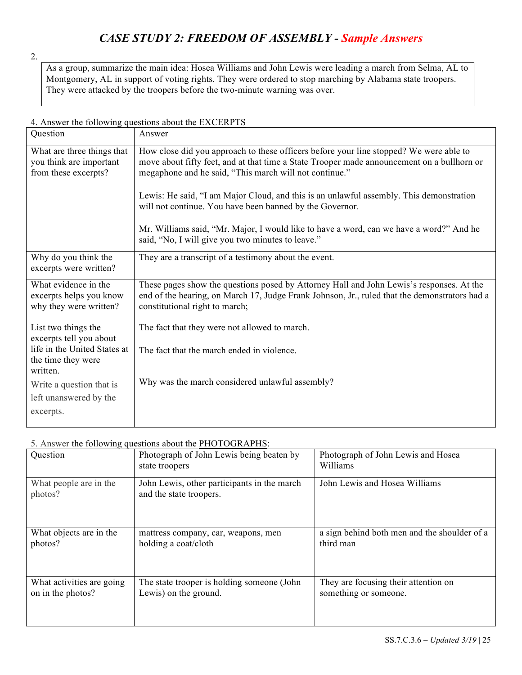# *CASE STUDY 2: FREEDOM OF ASSEMBLY - Sample Answers*

2.

As a group, summarize the main idea: Hosea Williams and John Lewis were leading a march from Selma, AL to Montgomery, AL in support of voting rights. They were ordered to stop marching by Alabama state troopers. They were attacked by the troopers before the two-minute warning was over.

#### 4. Answer the following questions about the EXCERPTS Question Answer What are three things that you think are important from these excerpts? How close did you approach to these officers before your line stopped? We were able to move about fifty feet, and at that time a State Trooper made announcement on a bullhorn or megaphone and he said, "This march will not continue." Lewis: He said, "I am Major Cloud, and this is an unlawful assembly. This demonstration will not continue. You have been banned by the Governor. Mr. Williams said, "Mr. Major, I would like to have a word, can we have a word?" And he said, "No, I will give you two minutes to leave." Why do you think the excerpts were written? They are a transcript of a testimony about the event. What evidence in the excerpts helps you know why they were written? These pages show the questions posed by Attorney Hall and John Lewis's responses. At the end of the hearing, on March 17, Judge Frank Johnson, Jr., ruled that the demonstrators had a constitutional right to march; List two things the excerpts tell you about life in the United States at the time they were written. The fact that they were not allowed to march. The fact that the march ended in violence. Write a question that is left unanswered by the excerpts. Why was the march considered unlawful assembly?

#### 5. Answer the following questions about the PHOTOGRAPHS $\cdot$

| Question                          | Photograph of John Lewis being beaten by<br>state troopers             | Photograph of John Lewis and Hosea<br>Williams |
|-----------------------------------|------------------------------------------------------------------------|------------------------------------------------|
| What people are in the<br>photos? | John Lewis, other participants in the march<br>and the state troopers. | John Lewis and Hosea Williams                  |
| What objects are in the           | mattress company, car, weapons, men                                    | a sign behind both men and the shoulder of a   |
| photos?                           | holding a coat/cloth                                                   | third man                                      |
| What activities are going         | The state trooper is holding someone (John                             | They are focusing their attention on           |
| on in the photos?                 | Lewis) on the ground.                                                  | something or someone.                          |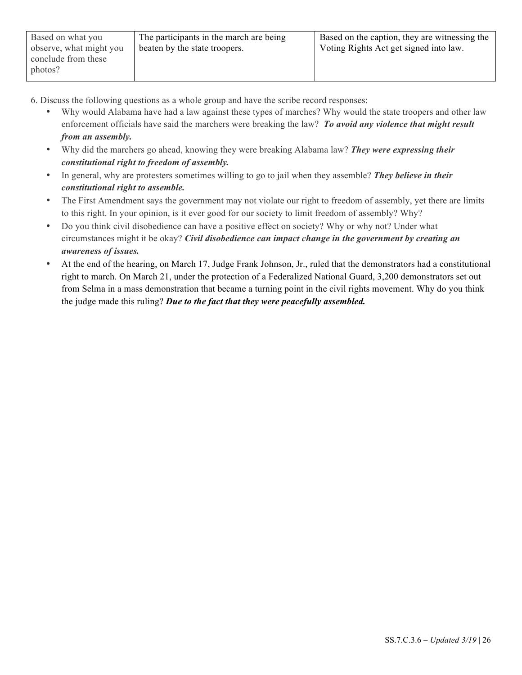- 6. Discuss the following questions as a whole group and have the scribe record responses:
	- Why would Alabama have had a law against these types of marches? Why would the state troopers and other law enforcement officials have said the marchers were breaking the law? *To avoid any violence that might result from an assembly.*
	- Why did the marchers go ahead, knowing they were breaking Alabama law? *They were expressing their constitutional right to freedom of assembly.*
	- In general, why are protesters sometimes willing to go to jail when they assemble? *They believe in their constitutional right to assemble.*
	- The First Amendment says the government may not violate our right to freedom of assembly, yet there are limits to this right. In your opinion, is it ever good for our society to limit freedom of assembly? Why?
	- Do you think civil disobedience can have a positive effect on society? Why or why not? Under what circumstances might it be okay? *Civil disobedience can impact change in the government by creating an awareness of issues.*
	- At the end of the hearing, on March 17, Judge Frank Johnson, Jr., ruled that the demonstrators had a constitutional right to march. On March 21, under the protection of a Federalized National Guard, 3,200 demonstrators set out from Selma in a mass demonstration that became a turning point in the civil rights movement. Why do you think the judge made this ruling? *Due to the fact that they were peacefully assembled.*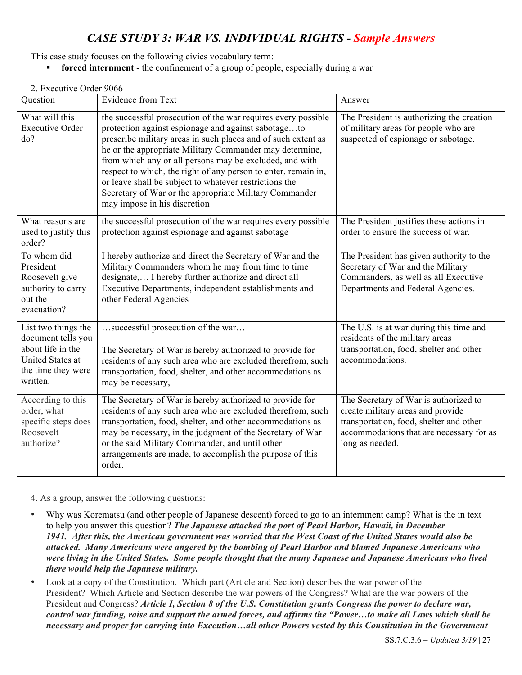### *CASE STUDY 3: WAR VS. INDIVIDUAL RIGHTS - Sample Answers*

This case study focuses on the following civics vocabulary term:

**forced internment** - the confinement of a group of people, especially during a war

#### 2. Executive Order 9066

| Question                                                                                                                    | <b>Evidence from Text</b>                                                                                                                                                                                                                                                                                                                                                                                                                                                                                                         | Answer                                                                                                                                                                               |
|-----------------------------------------------------------------------------------------------------------------------------|-----------------------------------------------------------------------------------------------------------------------------------------------------------------------------------------------------------------------------------------------------------------------------------------------------------------------------------------------------------------------------------------------------------------------------------------------------------------------------------------------------------------------------------|--------------------------------------------------------------------------------------------------------------------------------------------------------------------------------------|
| What will this<br><b>Executive Order</b><br>do?                                                                             | the successful prosecution of the war requires every possible<br>protection against espionage and against sabotageto<br>prescribe military areas in such places and of such extent as<br>he or the appropriate Military Commander may determine,<br>from which any or all persons may be excluded, and with<br>respect to which, the right of any person to enter, remain in,<br>or leave shall be subject to whatever restrictions the<br>Secretary of War or the appropriate Military Commander<br>may impose in his discretion | The President is authorizing the creation<br>of military areas for people who are<br>suspected of espionage or sabotage.                                                             |
| What reasons are<br>used to justify this<br>order?                                                                          | the successful prosecution of the war requires every possible<br>protection against espionage and against sabotage                                                                                                                                                                                                                                                                                                                                                                                                                | The President justifies these actions in<br>order to ensure the success of war.                                                                                                      |
| To whom did<br>President<br>Roosevelt give<br>authority to carry<br>out the<br>evacuation?                                  | I hereby authorize and direct the Secretary of War and the<br>Military Commanders whom he may from time to time<br>designate, I hereby further authorize and direct all<br>Executive Departments, independent establishments and<br>other Federal Agencies                                                                                                                                                                                                                                                                        | The President has given authority to the<br>Secretary of War and the Military<br>Commanders, as well as all Executive<br>Departments and Federal Agencies.                           |
| List two things the<br>document tells you<br>about life in the<br><b>United States at</b><br>the time they were<br>written. | successful prosecution of the war<br>The Secretary of War is hereby authorized to provide for<br>residents of any such area who are excluded therefrom, such<br>transportation, food, shelter, and other accommodations as<br>may be necessary,                                                                                                                                                                                                                                                                                   | The U.S. is at war during this time and<br>residents of the military areas<br>transportation, food, shelter and other<br>accommodations.                                             |
| According to this<br>order, what<br>specific steps does<br>Roosevelt<br>authorize?                                          | The Secretary of War is hereby authorized to provide for<br>residents of any such area who are excluded therefrom, such<br>transportation, food, shelter, and other accommodations as<br>may be necessary, in the judgment of the Secretary of War<br>or the said Military Commander, and until other<br>arrangements are made, to accomplish the purpose of this<br>order.                                                                                                                                                       | The Secretary of War is authorized to<br>create military areas and provide<br>transportation, food, shelter and other<br>accommodations that are necessary for as<br>long as needed. |

4. As a group, answer the following questions:

- Why was Korematsu (and other people of Japanese descent) forced to go to an internment camp? What is the in text to help you answer this question? *The Japanese attacked the port of Pearl Harbor, Hawaii, in December 1941. After this, the American government was worried that the West Coast of the United States would also be attacked. Many Americans were angered by the bombing of Pearl Harbor and blamed Japanese Americans who were living in the United States. Some people thought that the many Japanese and Japanese Americans who lived there would help the Japanese military.*
- Look at a copy of the Constitution. Which part (Article and Section) describes the war power of the President? Which Article and Section describe the war powers of the Congress? What are the war powers of the President and Congress? *Article I, Section 8 of the U.S. Constitution grants Congress the power to declare war, control war funding, raise and support the armed forces, and affirms the "Power…to make all Laws which shall be necessary and proper for carrying into Execution…all other Powers vested by this Constitution in the Government*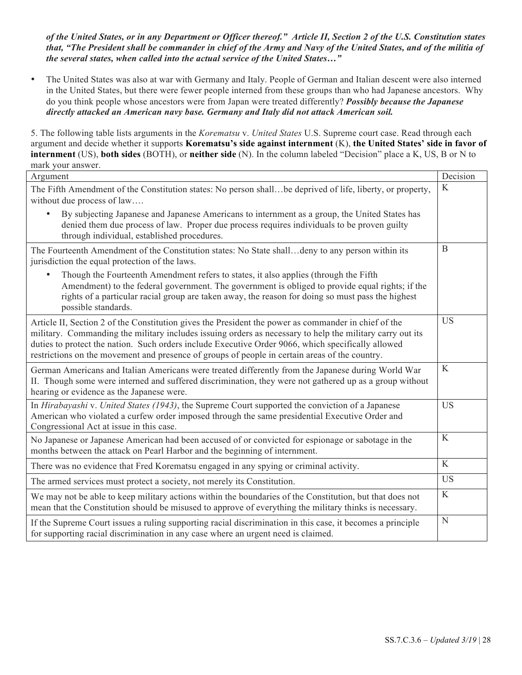*of the United States, or in any Department or Officer thereof." Article II, Section 2 of the U.S. Constitution states that, "The President shall be commander in chief of the Army and Navy of the United States, and of the militia of the several states, when called into the actual service of the United States…"* 

• The United States was also at war with Germany and Italy. People of German and Italian descent were also interned in the United States, but there were fewer people interned from these groups than who had Japanese ancestors. Why do you think people whose ancestors were from Japan were treated differently? *Possibly because the Japanese directly attacked an American navy base. Germany and Italy did not attack American soil.* 

5. The following table lists arguments in the *Korematsu* v. *United States* U.S. Supreme court case. Read through each argument and decide whether it supports **Korematsu's side against internment** (K), **the United States' side in favor of internment** (US), **both sides** (BOTH), or **neither side** (N). In the column labeled "Decision" place a K, US, B or N to mark your answer.

| Argument                                                                                                                                                                                                                                                                                                                                                                                                                  | Decision    |
|---------------------------------------------------------------------------------------------------------------------------------------------------------------------------------------------------------------------------------------------------------------------------------------------------------------------------------------------------------------------------------------------------------------------------|-------------|
| The Fifth Amendment of the Constitution states: No person shallbe deprived of life, liberty, or property,<br>without due process of law                                                                                                                                                                                                                                                                                   | K           |
| By subjecting Japanese and Japanese Americans to internment as a group, the United States has<br>$\bullet$<br>denied them due process of law. Proper due process requires individuals to be proven guilty<br>through individual, established procedures.                                                                                                                                                                  |             |
| The Fourteenth Amendment of the Constitution states: No State shalldeny to any person within its<br>jurisdiction the equal protection of the laws.                                                                                                                                                                                                                                                                        | B           |
| Though the Fourteenth Amendment refers to states, it also applies (through the Fifth<br>Amendment) to the federal government. The government is obliged to provide equal rights; if the<br>rights of a particular racial group are taken away, the reason for doing so must pass the highest<br>possible standards.                                                                                                       |             |
| Article II, Section 2 of the Constitution gives the President the power as commander in chief of the<br>military. Commanding the military includes issuing orders as necessary to help the military carry out its<br>duties to protect the nation. Such orders include Executive Order 9066, which specifically allowed<br>restrictions on the movement and presence of groups of people in certain areas of the country. | <b>US</b>   |
| German Americans and Italian Americans were treated differently from the Japanese during World War<br>II. Though some were interned and suffered discrimination, they were not gathered up as a group without<br>hearing or evidence as the Japanese were.                                                                                                                                                                | K           |
| In Hirabayashi v. United States (1943), the Supreme Court supported the conviction of a Japanese<br>American who violated a curfew order imposed through the same presidential Executive Order and<br>Congressional Act at issue in this case.                                                                                                                                                                            | <b>US</b>   |
| No Japanese or Japanese American had been accused of or convicted for espionage or sabotage in the<br>months between the attack on Pearl Harbor and the beginning of internment.                                                                                                                                                                                                                                          | $\mathbf K$ |
| There was no evidence that Fred Korematsu engaged in any spying or criminal activity.                                                                                                                                                                                                                                                                                                                                     | K           |
| The armed services must protect a society, not merely its Constitution.                                                                                                                                                                                                                                                                                                                                                   | <b>US</b>   |
| We may not be able to keep military actions within the boundaries of the Constitution, but that does not<br>mean that the Constitution should be misused to approve of everything the military thinks is necessary.                                                                                                                                                                                                       | K           |
| If the Supreme Court issues a ruling supporting racial discrimination in this case, it becomes a principle<br>for supporting racial discrimination in any case where an urgent need is claimed.                                                                                                                                                                                                                           | N           |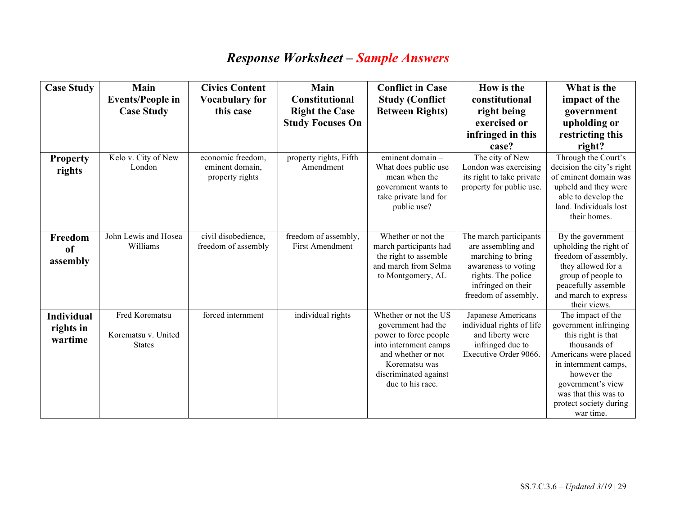# *Response Worksheet – Sample Answers*

| <b>Case Study</b>                         | <b>Main</b><br><b>Events/People in</b>                 | <b>Civics Content</b><br><b>Vocabulary for</b>          | Main<br><b>Constitutional</b>                  | <b>Conflict in Case</b><br><b>Study (Conflict</b>                                                                                                                                 | How is the<br>constitutional                                                                                                                                 | What is the<br>impact of the                                                                                                                                                                                                         |
|-------------------------------------------|--------------------------------------------------------|---------------------------------------------------------|------------------------------------------------|-----------------------------------------------------------------------------------------------------------------------------------------------------------------------------------|--------------------------------------------------------------------------------------------------------------------------------------------------------------|--------------------------------------------------------------------------------------------------------------------------------------------------------------------------------------------------------------------------------------|
|                                           | <b>Case Study</b>                                      | this case                                               | <b>Right the Case</b>                          | <b>Between Rights)</b>                                                                                                                                                            | right being                                                                                                                                                  | government                                                                                                                                                                                                                           |
|                                           |                                                        |                                                         | <b>Study Focuses On</b>                        |                                                                                                                                                                                   | exercised or                                                                                                                                                 | upholding or                                                                                                                                                                                                                         |
|                                           |                                                        |                                                         |                                                |                                                                                                                                                                                   | infringed in this                                                                                                                                            | restricting this                                                                                                                                                                                                                     |
|                                           |                                                        |                                                         |                                                |                                                                                                                                                                                   | case?                                                                                                                                                        | right?                                                                                                                                                                                                                               |
| <b>Property</b><br>rights                 | Kelo v. City of New<br>London                          | economic freedom,<br>eminent domain,<br>property rights | property rights, Fifth<br>Amendment            | eminent domain -<br>What does public use<br>mean when the<br>government wants to<br>take private land for<br>public use?                                                          | The city of New<br>London was exercising<br>its right to take private<br>property for public use.                                                            | Through the Court's<br>decision the city's right<br>of eminent domain was<br>upheld and they were<br>able to develop the<br>land. Individuals lost<br>their homes.                                                                   |
| Freedom<br>of<br>assembly                 | John Lewis and Hosea<br>Williams                       | civil disobedience,<br>freedom of assembly              | freedom of assembly,<br><b>First Amendment</b> | Whether or not the<br>march participants had<br>the right to assemble<br>and march from Selma<br>to Montgomery, AL                                                                | The march participants<br>are assembling and<br>marching to bring<br>awareness to voting<br>rights. The police<br>infringed on their<br>freedom of assembly. | By the government<br>upholding the right of<br>freedom of assembly,<br>they allowed for a<br>group of people to<br>peacefully assemble<br>and march to express<br>their views.                                                       |
| <b>Individual</b><br>rights in<br>wartime | Fred Korematsu<br>Korematsu v. United<br><b>States</b> | forced internment                                       | individual rights                              | Whether or not the US<br>government had the<br>power to force people<br>into internment camps<br>and whether or not<br>Korematsu was<br>discriminated against<br>due to his race. | Japanese Americans<br>individual rights of life<br>and liberty were<br>infringed due to<br>Executive Order 9066.                                             | The impact of the<br>government infringing<br>this right is that<br>thousands of<br>Americans were placed<br>in internment camps,<br>however the<br>government's view<br>was that this was to<br>protect society during<br>war time. |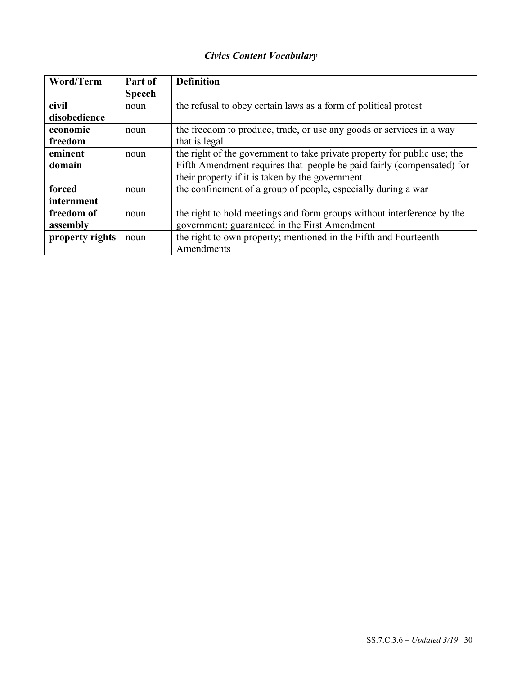### *Civics Content Vocabulary*

| Word/Term       | Part of       | <b>Definition</b>                                                        |
|-----------------|---------------|--------------------------------------------------------------------------|
|                 | <b>Speech</b> |                                                                          |
| civil           | noun          | the refusal to obey certain laws as a form of political protest          |
| disobedience    |               |                                                                          |
| economic        | noun          | the freedom to produce, trade, or use any goods or services in a way     |
| freedom         |               | that is legal                                                            |
| eminent         | noun          | the right of the government to take private property for public use; the |
| domain          |               | Fifth Amendment requires that people be paid fairly (compensated) for    |
|                 |               | their property if it is taken by the government                          |
| forced          | noun          | the confinement of a group of people, especially during a war            |
| internment      |               |                                                                          |
| freedom of      | noun          | the right to hold meetings and form groups without interference by the   |
| assembly        |               | government; guaranteed in the First Amendment                            |
| property rights | noun          | the right to own property; mentioned in the Fifth and Fourteenth         |
|                 |               | Amendments                                                               |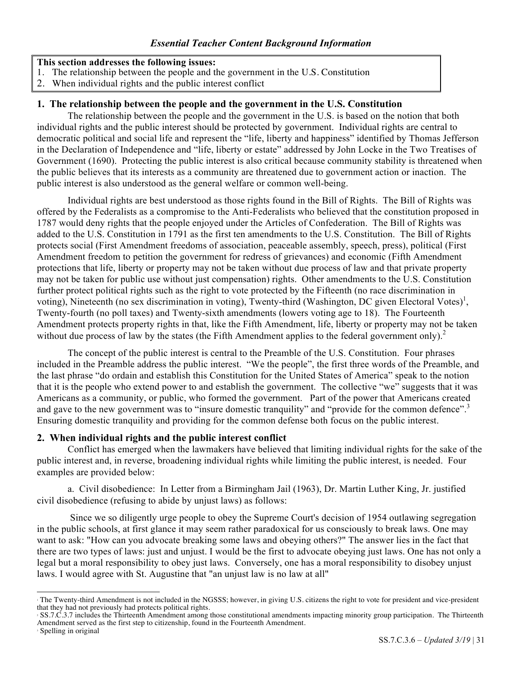#### **This section addresses the following issues:**

- 1. The relationship between the people and the government in the U.S. Constitution
- 2. When individual rights and the public interest conflict

#### **1. The relationship between the people and the government in the U.S. Constitution**

The relationship between the people and the government in the U.S. is based on the notion that both individual rights and the public interest should be protected by government. Individual rights are central to democratic political and social life and represent the "life, liberty and happiness" identified by Thomas Jefferson in the Declaration of Independence and "life, liberty or estate" addressed by John Locke in the Two Treatises of Government (1690). Protecting the public interest is also critical because community stability is threatened when the public believes that its interests as a community are threatened due to government action or inaction. The public interest is also understood as the general welfare or common well-being.

Individual rights are best understood as those rights found in the Bill of Rights. The Bill of Rights was offered by the Federalists as a compromise to the Anti-Federalists who believed that the constitution proposed in 1787 would deny rights that the people enjoyed under the Articles of Confederation. The Bill of Rights was added to the U.S. Constitution in 1791 as the first ten amendments to the U.S. Constitution. The Bill of Rights protects social (First Amendment freedoms of association, peaceable assembly, speech, press), political (First Amendment freedom to petition the government for redress of grievances) and economic (Fifth Amendment protections that life, liberty or property may not be taken without due process of law and that private property may not be taken for public use without just compensation) rights. Other amendments to the U.S. Constitution further protect political rights such as the right to vote protected by the Fifteenth (no race discrimination in voting), Nineteenth (no sex discrimination in voting), Twenty-third (Washington, DC given Electoral Votes)<sup>1</sup>, Twenty-fourth (no poll taxes) and Twenty-sixth amendments (lowers voting age to 18). The Fourteenth Amendment protects property rights in that, like the Fifth Amendment, life, liberty or property may not be taken without due process of law by the states (the Fifth Amendment applies to the federal government only).<sup>2</sup>

The concept of the public interest is central to the Preamble of the U.S. Constitution. Four phrases included in the Preamble address the public interest. "We the people", the first three words of the Preamble, and the last phrase "do ordain and establish this Constitution for the United States of America" speak to the notion that it is the people who extend power to and establish the government. The collective "we" suggests that it was Americans as a community, or public, who formed the government. Part of the power that Americans created and gave to the new government was to "insure domestic tranquility" and "provide for the common defence".<sup>3</sup> Ensuring domestic tranquility and providing for the common defense both focus on the public interest.

#### **2. When individual rights and the public interest conflict**

Conflict has emerged when the lawmakers have believed that limiting individual rights for the sake of the public interest and, in reverse, broadening individual rights while limiting the public interest, is needed. Four examples are provided below:

a. Civil disobedience: In Letter from a Birmingham Jail (1963), Dr. Martin Luther King, Jr. justified civil disobedience (refusing to abide by unjust laws) as follows:

Since we so diligently urge people to obey the Supreme Court's decision of 1954 outlawing segregation in the public schools, at first glance it may seem rather paradoxical for us consciously to break laws. One may want to ask: "How can you advocate breaking some laws and obeying others?" The answer lies in the fact that there are two types of laws: just and unjust. I would be the first to advocate obeying just laws. One has not only a legal but a moral responsibility to obey just laws. Conversely, one has a moral responsibility to disobey unjust laws. I would agree with St. Augustine that "an unjust law is no law at all"

<sup>3</sup> Spelling in original

 

<sup>1</sup> The Twenty-third Amendment is not included in the NGSSS; however, in giving U.S. citizens the right to vote for president and vice-president that they had not previously had protects political rights.

<sup>2</sup> SS.7.C.3.7 includes the Thirteenth Amendment among those constitutional amendments impacting minority group participation. The Thirteenth Amendment served as the first step to citizenship, found in the Fourteenth Amendment.